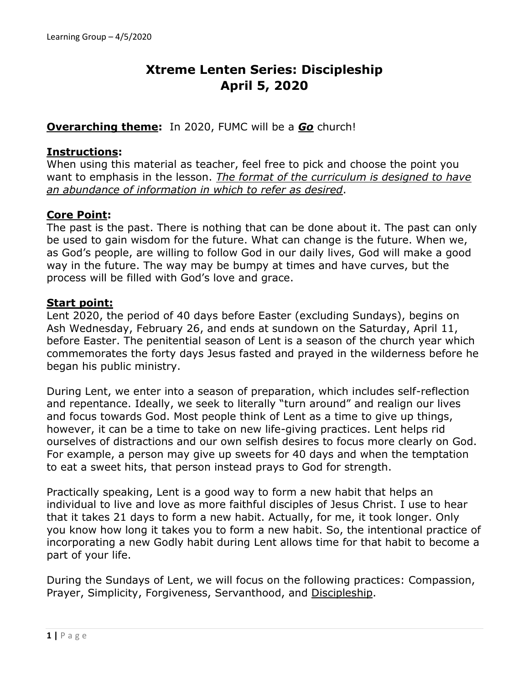# **Xtreme Lenten Series: Discipleship April 5, 2020**

## **Overarching theme:** In 2020, FUMC will be a *Go* church!

#### **Instructions:**

When using this material as teacher, feel free to pick and choose the point you want to emphasis in the lesson. *The format of the curriculum is designed to have an abundance of information in which to refer as desired*.

# **Core Point:**

The past is the past. There is nothing that can be done about it. The past can only be used to gain wisdom for the future. What can change is the future. When we, as God's people, are willing to follow God in our daily lives, God will make a good way in the future. The way may be bumpy at times and have curves, but the process will be filled with God's love and grace.

#### **Start point:**

Lent 2020, the period of 40 days before Easter (excluding Sundays), begins on Ash Wednesday, February 26, and ends at sundown on the Saturday, April 11, before Easter. The penitential season of Lent is a season of the church year which commemorates the forty days Jesus fasted and prayed in the wilderness before he began his public ministry.

During Lent, we enter into a season of preparation, which includes self-reflection and repentance. Ideally, we seek to literally "turn around" and realign our lives and focus towards God. Most people think of Lent as a time to give up things, however, it can be a time to take on new life-giving practices. Lent helps rid ourselves of distractions and our own selfish desires to focus more clearly on God. For example, a person may give up sweets for 40 days and when the temptation to eat a sweet hits, that person instead prays to God for strength.

Practically speaking, Lent is a good way to form a new habit that helps an individual to live and love as more faithful disciples of Jesus Christ. I use to hear that it takes 21 days to form a new habit. Actually, for me, it took longer. Only you know how long it takes you to form a new habit. So, the intentional practice of incorporating a new Godly habit during Lent allows time for that habit to become a part of your life.

During the Sundays of Lent, we will focus on the following practices: Compassion, Prayer, Simplicity, Forgiveness, Servanthood, and Discipleship.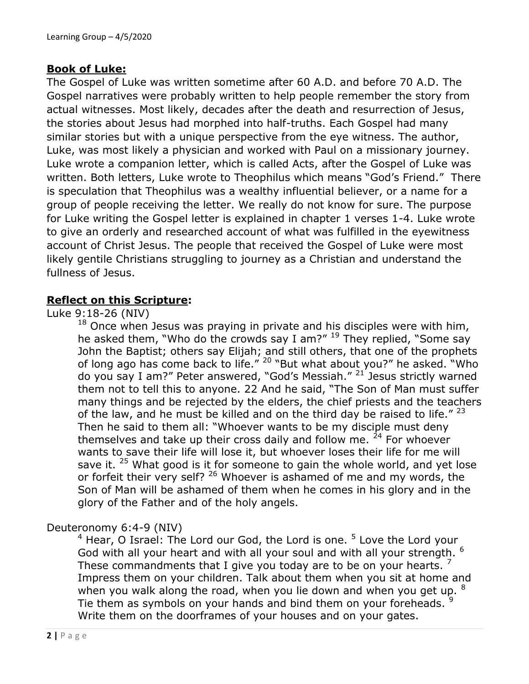# **Book of Luke:**

The Gospel of Luke was written sometime after 60 A.D. and before 70 A.D. The Gospel narratives were probably written to help people remember the story from actual witnesses. Most likely, decades after the death and resurrection of Jesus, the stories about Jesus had morphed into half-truths. Each Gospel had many similar stories but with a unique perspective from the eye witness. The author, Luke, was most likely a physician and worked with Paul on a missionary journey. Luke wrote a companion letter, which is called Acts, after the Gospel of Luke was written. Both letters, Luke wrote to Theophilus which means "God's Friend." There is speculation that Theophilus was a wealthy influential believer, or a name for a group of people receiving the letter. We really do not know for sure. The purpose for Luke writing the Gospel letter is explained in chapter 1 verses 1-4. Luke wrote to give an orderly and researched account of what was fulfilled in the eyewitness account of Christ Jesus. The people that received the Gospel of Luke were most likely gentile Christians struggling to journey as a Christian and understand the fullness of Jesus.

# **Reflect on this Scripture:**

#### Luke 9:18-26 (NIV)

 $18$  Once when Jesus was praying in private and his disciples were with him, he asked them, "Who do the crowds say I am?" <sup>19</sup> They replied, "Some say John the Baptist; others say Elijah; and still others, that one of the prophets of long ago has come back to life."  $20$  "But what about you?" he asked. "Who do you say I am?" Peter answered, "God's Messiah." <sup>21</sup> Jesus strictly warned them not to tell this to anyone. 22 And he said, "The Son of Man must suffer many things and be rejected by the elders, the chief priests and the teachers of the law, and he must be killed and on the third day be raised to life."  $^{23}$ Then he said to them all: "Whoever wants to be my disciple must deny themselves and take up their cross daily and follow me.  $24$  For whoever wants to save their life will lose it, but whoever loses their life for me will save it.  $25$  What good is it for someone to gain the whole world, and yet lose or forfeit their very self? <sup>26</sup> Whoever is ashamed of me and my words, the Son of Man will be ashamed of them when he comes in his glory and in the glory of the Father and of the holy angels.

#### Deuteronomy 6:4-9 (NIV)

 $4$  Hear, O Israel: The Lord our God, the Lord is one.  $5$  Love the Lord your God with all your heart and with all your soul and with all your strength. <sup>6</sup> These commandments that I give you today are to be on your hearts.  $<sup>7</sup>$ </sup> Impress them on your children. Talk about them when you sit at home and when you walk along the road, when you lie down and when you get up. <sup>8</sup> Tie them as symbols on your hands and bind them on your foreheads. <sup>9</sup> Write them on the doorframes of your houses and on your gates.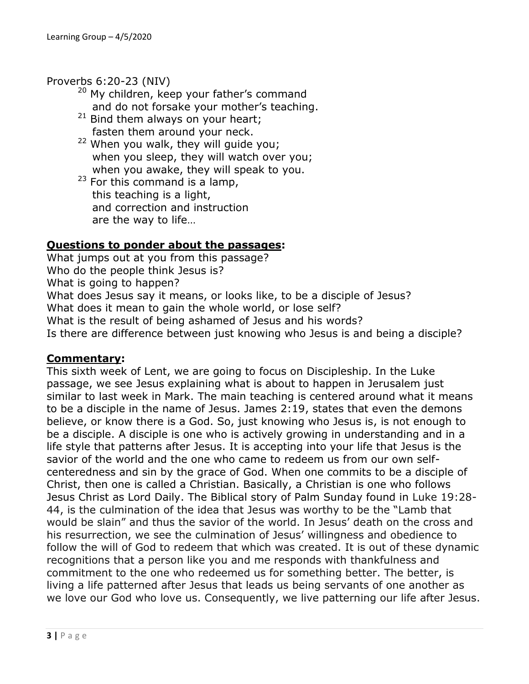#### Proverbs 6:20-23 (NIV)

- $20$  My children, keep your father's command and do not forsake your mother's teaching.
- $21$  Bind them always on your heart; fasten them around your neck.
- <sup>22</sup> When you walk, they will guide you; when you sleep, they will watch over you; when you awake, they will speak to you.
- $23$  For this command is a lamp, this teaching is a light, and correction and instruction are the way to life…

# **Questions to ponder about the passages:**

What jumps out at you from this passage? Who do the people think Jesus is? What is going to happen? What does Jesus say it means, or looks like, to be a disciple of Jesus? What does it mean to gain the whole world, or lose self? What is the result of being ashamed of Jesus and his words? Is there are difference between just knowing who Jesus is and being a disciple?

#### **Commentary:**

This sixth week of Lent, we are going to focus on Discipleship. In the Luke passage, we see Jesus explaining what is about to happen in Jerusalem just similar to last week in Mark. The main teaching is centered around what it means to be a disciple in the name of Jesus. James 2:19, states that even the demons believe, or know there is a God. So, just knowing who Jesus is, is not enough to be a disciple. A disciple is one who is actively growing in understanding and in a life style that patterns after Jesus. It is accepting into your life that Jesus is the savior of the world and the one who came to redeem us from our own selfcenteredness and sin by the grace of God. When one commits to be a disciple of Christ, then one is called a Christian. Basically, a Christian is one who follows Jesus Christ as Lord Daily. The Biblical story of Palm Sunday found in Luke 19:28- 44, is the culmination of the idea that Jesus was worthy to be the "Lamb that would be slain" and thus the savior of the world. In Jesus' death on the cross and his resurrection, we see the culmination of Jesus' willingness and obedience to follow the will of God to redeem that which was created. It is out of these dynamic recognitions that a person like you and me responds with thankfulness and commitment to the one who redeemed us for something better. The better, is living a life patterned after Jesus that leads us being servants of one another as we love our God who love us. Consequently, we live patterning our life after Jesus.